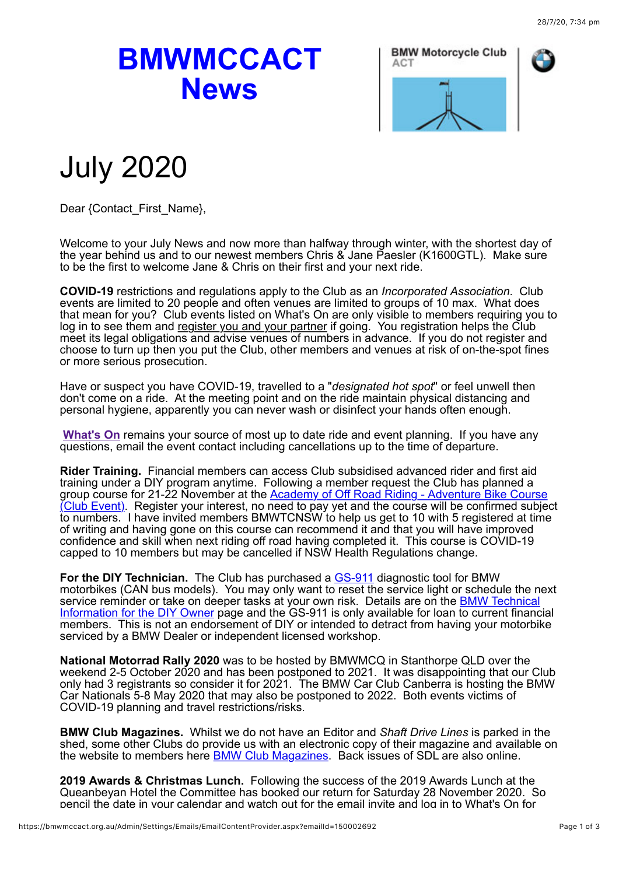## **BMWMCCACT News**



## July 2020

Dear {Contact\_First\_Name},

Welcome to your July News and now more than halfway through winter, with the shortest day of the year behind us and to our newest members Chris & Jane Paesler (K1600GTL). Make sure to be the first to welcome Jane & Chris on their first and your next ride.

**COVID-19** restrictions and regulations apply to the Club as an *Incorporated Association*. Club events are limited to 20 people and often venues are limited to groups of 10 max. What does that mean for you? Club events listed on What's On are only visible to members requiring you to log in to see them and register you and your partner if going. You registration helps the Club meet its legal obligations and advise venues of numbers in advance. If you do not register and choose to turn up then you put the Club, other members and venues at risk of on-the-spot fines or more serious prosecution.

Have or suspect you have COVID-19, travelled to a "*designated hot spot*" or feel unwell then don't come on a ride. At the meeting point and on the ride maintain physical distancing and personal hygiene, apparently you can never wash or disinfect your hands often enough.

**[What's On](https://bmwmccact.org.au/page-1419638)** remains your source of most up to date ride and event planning. If you have any questions, email the event contact including cancellations up to the time of departure.

**Rider Training.** Financial members can access Club subsidised advanced rider and first aid training under a DIY program anytime. Following a member request the Club has planned a [group course for 21-22 November at the Academy of Off Road Riding - Adventure Bike Course](https://bmwmccact.org.au/event-3880659) (Club Event). Register your interest, no need to pay yet and the course will be confirmed subject to numbers. I have invited members BMWTCNSW to help us get to 10 with 5 registered at time of writing and having gone on this course can recommend it and that you will have improved confidence and skill when next riding off road having completed it. This course is COVID-19 capped to 10 members but may be cancelled if NSW Health Regulations change.

For the DIY Technician. The Club has purchased a **GS-911** diagnostic tool for BMW motorbikes (CAN bus models). You may only want to reset the service light or schedule the next service reminder or take on deeper tasks at your own risk. Details are on the **BMW Technical** [Information for the DIY Owner page and the GS-911 is only available for loan to current financ](https://bmwmccact.org.au/page-1704513)ial members. This is not an endorsement of DIY or intended to detract from having your motorbike serviced by a BMW Dealer or independent licensed workshop.

**National Motorrad Rally 2020** was to be hosted by BMWMCQ in Stanthorpe QLD over the weekend 2-5 October 2020 and has been postponed to 2021. It was disappointing that our Club only had 3 registrants so consider it for 2021. The BMW Car Club Canberra is hosting the BMW Car Nationals 5-8 May 2020 that may also be postponed to 2022. Both events victims of COVID-19 planning and travel restrictions/risks.

**BMW Club Magazines.** Whilst we do not have an Editor and *Shaft Drive Lines* is parked in the shed, some other Clubs do provide us with an electronic copy of their magazine and available on the website to members here **BMW Club Magazines**. Back issues of SDL are also online.

**2019 Awards & Christmas Lunch.** Following the success of the 2019 Awards Lunch at the Queanbeyan Hotel the Committee has booked our return for Saturday 28 November 2020. So pencil the date in your calendar and watch out for the email invite and log in to What's On for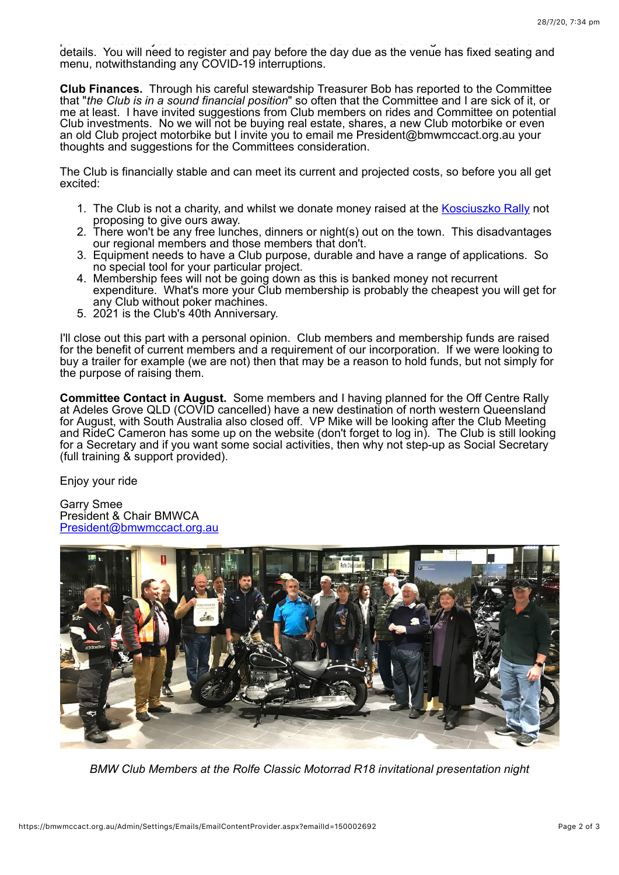pencil the date in your calendar and watch out for the email invite and log in to What's On for details. You will need to register and pay before the day due as the venue has fixed seating and menu, notwithstanding any COVID-19 interruptions.

**Club Finances.** Through his careful stewardship Treasurer Bob has reported to the Committee that "*the Club is in a sound financial position*" so often that the Committee and I are sick of it, or me at least. I have invited suggestions from Club members on rides and Committee on potential Club investments. No we will not be buying real estate, shares, a new Club motorbike or even an old Club project motorbike but I invite you to email me President@bmwmccact.org.au your thoughts and suggestions for the Committees consideration.

The Club is financially stable and can meet its current and projected costs, so before you all get excited:

- 1. The Club is not a charity, and whilst we donate money raised at the [Kosciuszko Rally](https://bmwmccact.org.au/page-1428503) not proposing to give ours away.
- 2. There won't be any free lunches, dinners or night(s) out on the town. This disadvantages our regional members and those members that don't.
- 3. Equipment needs to have a Club purpose, durable and have a range of applications. So no special tool for your particular project.
- 4. Membership fees will not be going down as this is banked money not recurrent expenditure. What's more your Club membership is probably the cheapest you will get for any Club without poker machines.
- 5. 2021 is the Club's 40th Anniversary.

I'll close out this part with a personal opinion. Club members and membership funds are raised for the benefit of current members and a requirement of our incorporation. If we were looking to buy a trailer for example (we are not) then that may be a reason to hold funds, but not simply for the purpose of raising them.

**Committee Contact in August.** Some members and I having planned for the Off Centre Rally at Adeles Grove QLD (COVID cancelled) have a new destination of north western Queensland for August, with South Australia also closed off. VP Mike will be looking after the Club Meeting and RideC Cameron has some up on the website (don't forget to log in). The Club is still looking for a Secretary and if you want some social activities, then why not step-up as Social Secretary (full training & support provided).

Enjoy your ride

Garry Smee President & Chair BMWCA [President@bmwmccact.org.au](mailto:President@bmwmccact.org.au)



*BMW Club Members at the Rolfe Classic Motorrad R18 invitational presentation night*